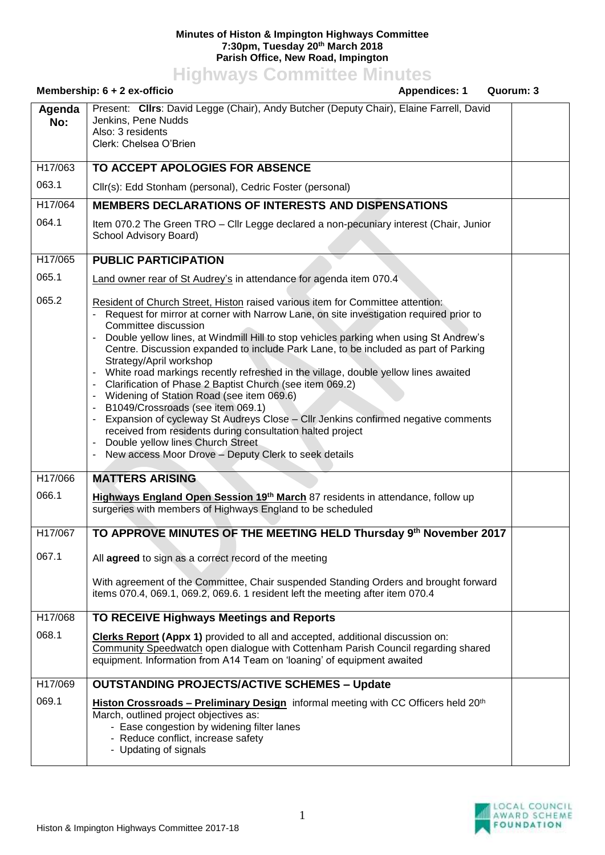## **Minutes of Histon & Impington Highways Committee 7:30pm, Tuesday 20th March 2018 Parish Office, New Road, Impington**

**Highways Committee Minutes**

| Membership: 6 + 2 ex-officio<br><b>Appendices: 1</b> |                                                                                                                                                                                                                                                                                                                                                                                                                                                                                                                                                                                                                                                                                                                                                                                                                                                                                                 | Quorum: 3 |  |
|------------------------------------------------------|-------------------------------------------------------------------------------------------------------------------------------------------------------------------------------------------------------------------------------------------------------------------------------------------------------------------------------------------------------------------------------------------------------------------------------------------------------------------------------------------------------------------------------------------------------------------------------------------------------------------------------------------------------------------------------------------------------------------------------------------------------------------------------------------------------------------------------------------------------------------------------------------------|-----------|--|
| Agenda<br>No:                                        | Present: Clirs: David Legge (Chair), Andy Butcher (Deputy Chair), Elaine Farrell, David<br>Jenkins, Pene Nudds<br>Also: 3 residents<br>Clerk: Chelsea O'Brien                                                                                                                                                                                                                                                                                                                                                                                                                                                                                                                                                                                                                                                                                                                                   |           |  |
| H17/063                                              | TO ACCEPT APOLOGIES FOR ABSENCE                                                                                                                                                                                                                                                                                                                                                                                                                                                                                                                                                                                                                                                                                                                                                                                                                                                                 |           |  |
| 063.1                                                | Cllr(s): Edd Stonham (personal), Cedric Foster (personal)                                                                                                                                                                                                                                                                                                                                                                                                                                                                                                                                                                                                                                                                                                                                                                                                                                       |           |  |
| H17/064                                              | MEMBERS DECLARATIONS OF INTERESTS AND DISPENSATIONS                                                                                                                                                                                                                                                                                                                                                                                                                                                                                                                                                                                                                                                                                                                                                                                                                                             |           |  |
| 064.1                                                | Item 070.2 The Green TRO - Cllr Legge declared a non-pecuniary interest (Chair, Junior<br>School Advisory Board)                                                                                                                                                                                                                                                                                                                                                                                                                                                                                                                                                                                                                                                                                                                                                                                |           |  |
| H17/065                                              | <b>PUBLIC PARTICIPATION</b>                                                                                                                                                                                                                                                                                                                                                                                                                                                                                                                                                                                                                                                                                                                                                                                                                                                                     |           |  |
| 065.1                                                | Land owner rear of St Audrey's in attendance for agenda item 070.4                                                                                                                                                                                                                                                                                                                                                                                                                                                                                                                                                                                                                                                                                                                                                                                                                              |           |  |
| 065.2                                                | Resident of Church Street, Histon raised various item for Committee attention:<br>Request for mirror at corner with Narrow Lane, on site investigation required prior to<br>Committee discussion<br>Double yellow lines, at Windmill Hill to stop vehicles parking when using St Andrew's<br>Centre. Discussion expanded to include Park Lane, to be included as part of Parking<br>Strategy/April workshop<br>White road markings recently refreshed in the village, double yellow lines awaited<br>Clarification of Phase 2 Baptist Church (see item 069.2)<br>Widening of Station Road (see item 069.6)<br>B1049/Crossroads (see item 069.1)<br>Expansion of cycleway St Audreys Close - Cllr Jenkins confirmed negative comments<br>received from residents during consultation halted project<br>Double yellow lines Church Street<br>New access Moor Drove - Deputy Clerk to seek details |           |  |
| H17/066                                              | <b>MATTERS ARISING</b>                                                                                                                                                                                                                                                                                                                                                                                                                                                                                                                                                                                                                                                                                                                                                                                                                                                                          |           |  |
| 066.1                                                | Highways England Open Session 19 <sup>th</sup> March 87 residents in attendance, follow up<br>surgeries with members of Highways England to be scheduled                                                                                                                                                                                                                                                                                                                                                                                                                                                                                                                                                                                                                                                                                                                                        |           |  |
| H17/067                                              | TO APPROVE MINUTES OF THE MEETING HELD Thursday 9th November 2017                                                                                                                                                                                                                                                                                                                                                                                                                                                                                                                                                                                                                                                                                                                                                                                                                               |           |  |
| 067.1                                                | All agreed to sign as a correct record of the meeting                                                                                                                                                                                                                                                                                                                                                                                                                                                                                                                                                                                                                                                                                                                                                                                                                                           |           |  |
|                                                      | With agreement of the Committee, Chair suspended Standing Orders and brought forward<br>items 070.4, 069.1, 069.2, 069.6. 1 resident left the meeting after item 070.4                                                                                                                                                                                                                                                                                                                                                                                                                                                                                                                                                                                                                                                                                                                          |           |  |
| H17/068                                              | <b>TO RECEIVE Highways Meetings and Reports</b>                                                                                                                                                                                                                                                                                                                                                                                                                                                                                                                                                                                                                                                                                                                                                                                                                                                 |           |  |
| 068.1                                                | <b>Clerks Report (Appx 1)</b> provided to all and accepted, additional discussion on:<br>Community Speedwatch open dialogue with Cottenham Parish Council regarding shared<br>equipment. Information from A14 Team on 'loaning' of equipment awaited                                                                                                                                                                                                                                                                                                                                                                                                                                                                                                                                                                                                                                            |           |  |
| H17/069                                              | <b>OUTSTANDING PROJECTS/ACTIVE SCHEMES - Update</b>                                                                                                                                                                                                                                                                                                                                                                                                                                                                                                                                                                                                                                                                                                                                                                                                                                             |           |  |
| 069.1                                                | Histon Crossroads - Preliminary Design informal meeting with CC Officers held 20 <sup>th</sup><br>March, outlined project objectives as:<br>- Ease congestion by widening filter lanes<br>- Reduce conflict, increase safety<br>- Updating of signals                                                                                                                                                                                                                                                                                                                                                                                                                                                                                                                                                                                                                                           |           |  |

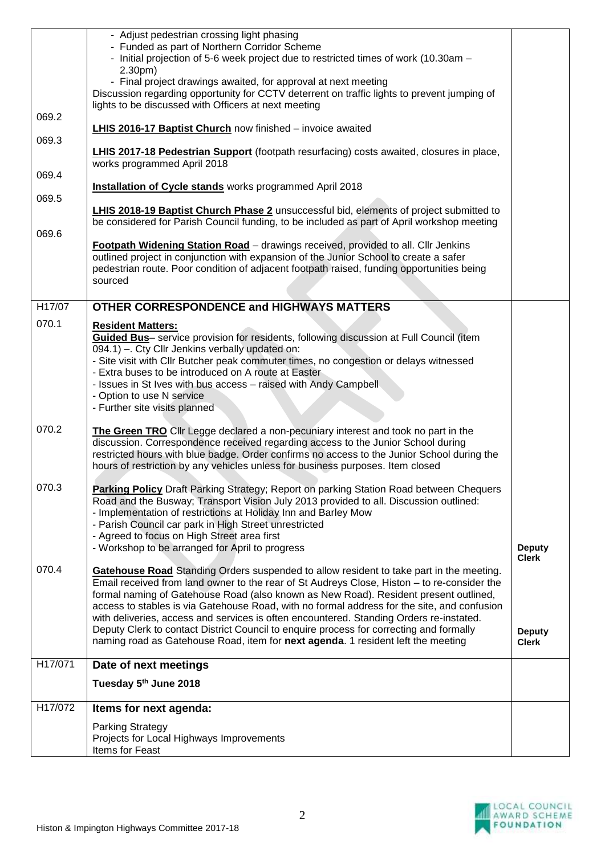|         | - Adjust pedestrian crossing light phasing<br>- Funded as part of Northern Corridor Scheme<br>- Initial projection of 5-6 week project due to restricted times of work (10.30am -<br>$2.30pm$ )                                                                                                                                                                                                                                                                                                                                                                                                                                                                |                                               |  |
|---------|----------------------------------------------------------------------------------------------------------------------------------------------------------------------------------------------------------------------------------------------------------------------------------------------------------------------------------------------------------------------------------------------------------------------------------------------------------------------------------------------------------------------------------------------------------------------------------------------------------------------------------------------------------------|-----------------------------------------------|--|
|         | - Final project drawings awaited, for approval at next meeting<br>Discussion regarding opportunity for CCTV deterrent on traffic lights to prevent jumping of<br>lights to be discussed with Officers at next meeting                                                                                                                                                                                                                                                                                                                                                                                                                                          |                                               |  |
| 069.2   | LHIS 2016-17 Baptist Church now finished - invoice awaited                                                                                                                                                                                                                                                                                                                                                                                                                                                                                                                                                                                                     |                                               |  |
| 069.3   | LHIS 2017-18 Pedestrian Support (footpath resurfacing) costs awaited, closures in place,<br>works programmed April 2018                                                                                                                                                                                                                                                                                                                                                                                                                                                                                                                                        |                                               |  |
| 069.4   | <b>Installation of Cycle stands</b> works programmed April 2018                                                                                                                                                                                                                                                                                                                                                                                                                                                                                                                                                                                                |                                               |  |
| 069.5   | <b>LHIS 2018-19 Baptist Church Phase 2</b> unsuccessful bid, elements of project submitted to                                                                                                                                                                                                                                                                                                                                                                                                                                                                                                                                                                  |                                               |  |
| 069.6   | be considered for Parish Council funding, to be included as part of April workshop meeting                                                                                                                                                                                                                                                                                                                                                                                                                                                                                                                                                                     |                                               |  |
|         | Footpath Widening Station Road - drawings received, provided to all. Cllr Jenkins<br>outlined project in conjunction with expansion of the Junior School to create a safer<br>pedestrian route. Poor condition of adjacent footpath raised, funding opportunities being<br>sourced                                                                                                                                                                                                                                                                                                                                                                             |                                               |  |
| H17/07  | <b>OTHER CORRESPONDENCE and HIGHWAYS MATTERS</b>                                                                                                                                                                                                                                                                                                                                                                                                                                                                                                                                                                                                               |                                               |  |
| 070.1   | <b>Resident Matters:</b><br>Guided Bus- service provision for residents, following discussion at Full Council (item<br>094.1) - Cty Cllr Jenkins verbally updated on:<br>- Site visit with Cllr Butcher peak commuter times, no congestion or delays witnessed<br>- Extra buses to be introduced on A route at Easter<br>- Issues in St Ives with bus access - raised with Andy Campbell<br>- Option to use N service                                                                                                                                                                                                                                          |                                               |  |
|         | - Further site visits planned                                                                                                                                                                                                                                                                                                                                                                                                                                                                                                                                                                                                                                  |                                               |  |
| 070.2   | The Green TRO Cllr Legge declared a non-pecuniary interest and took no part in the<br>discussion. Correspondence received regarding access to the Junior School during<br>restricted hours with blue badge. Order confirms no access to the Junior School during the<br>hours of restriction by any vehicles unless for business purposes. Item closed                                                                                                                                                                                                                                                                                                         |                                               |  |
| 070.3   | <b>Parking Policy</b> Draft Parking Strategy; Report on parking Station Road between Chequers<br>Road and the Busway; Transport Vision July 2013 provided to all. Discussion outlined:<br>- Implementation of restrictions at Holiday Inn and Barley Mow<br>- Parish Council car park in High Street unrestricted<br>- Agreed to focus on High Street area first<br>- Workshop to be arranged for April to progress                                                                                                                                                                                                                                            | <b>Deputy</b>                                 |  |
| 070.4   | <b>Gatehouse Road</b> Standing Orders suspended to allow resident to take part in the meeting.<br>Email received from land owner to the rear of St Audreys Close, Histon - to re-consider the<br>formal naming of Gatehouse Road (also known as New Road). Resident present outlined,<br>access to stables is via Gatehouse Road, with no formal address for the site, and confusion<br>with deliveries, access and services is often encountered. Standing Orders re-instated.<br>Deputy Clerk to contact District Council to enquire process for correcting and formally<br>naming road as Gatehouse Road, item for next agenda. 1 resident left the meeting | <b>Clerk</b><br><b>Deputy</b><br><b>Clerk</b> |  |
| H17/071 | Date of next meetings                                                                                                                                                                                                                                                                                                                                                                                                                                                                                                                                                                                                                                          |                                               |  |
|         | Tuesday 5th June 2018                                                                                                                                                                                                                                                                                                                                                                                                                                                                                                                                                                                                                                          |                                               |  |
| H17/072 |                                                                                                                                                                                                                                                                                                                                                                                                                                                                                                                                                                                                                                                                |                                               |  |
|         | Items for next agenda:                                                                                                                                                                                                                                                                                                                                                                                                                                                                                                                                                                                                                                         |                                               |  |
|         | <b>Parking Strategy</b><br>Projects for Local Highways Improvements<br>Items for Feast                                                                                                                                                                                                                                                                                                                                                                                                                                                                                                                                                                         |                                               |  |
|         |                                                                                                                                                                                                                                                                                                                                                                                                                                                                                                                                                                                                                                                                |                                               |  |